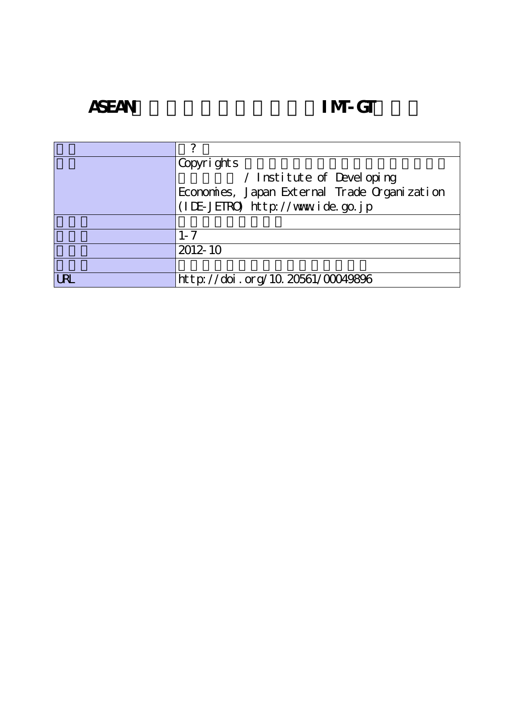### **ASEAN** IMT-GT

| Copyrights                                   |
|----------------------------------------------|
| / Institute of Developing                    |
| Economies, Japan External Trade Organization |
| (IDE-JETRO) http://www.ide.go.jp             |
|                                              |
| 1- 7                                         |
| 2012-10                                      |
|                                              |
| http://doi.org/10.20561/00049896             |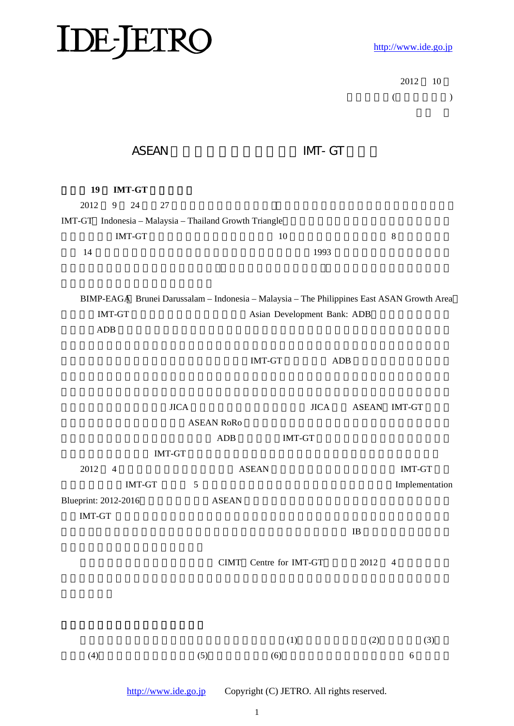[http://www.ide.go.jp](http://www.ide.go.jp/)

| 2012 10 |  |
|---------|--|
|         |  |

ASEAN IMT-GT

| 19<br><b>IMT-GT</b>                                                                        |                                                        |                           |                             |                   |                |  |  |
|--------------------------------------------------------------------------------------------|--------------------------------------------------------|---------------------------|-----------------------------|-------------------|----------------|--|--|
| 2012<br>24<br>9                                                                            | 27                                                     |                           |                             |                   |                |  |  |
|                                                                                            | IMT-GT Indonesia - Malaysia - Thailand Growth Triangle |                           |                             |                   |                |  |  |
| $IMT-GT$                                                                                   |                                                        | 10                        |                             |                   | $\,8\,$        |  |  |
| 14                                                                                         |                                                        |                           | 1993                        |                   |                |  |  |
|                                                                                            |                                                        |                           |                             |                   |                |  |  |
|                                                                                            |                                                        |                           |                             |                   |                |  |  |
| BIMP-EAGA Brunei Darussalam - Indonesia - Malaysia - The Philippines East ASAN Growth Area |                                                        |                           |                             |                   |                |  |  |
| $IMT-GT$                                                                                   |                                                        |                           | Asian Development Bank: ADB |                   |                |  |  |
| ADB                                                                                        |                                                        |                           |                             |                   |                |  |  |
|                                                                                            |                                                        | <b>IMT-GT</b>             |                             | ADB               |                |  |  |
|                                                                                            |                                                        |                           |                             |                   |                |  |  |
|                                                                                            |                                                        |                           |                             |                   |                |  |  |
|                                                                                            | <b>JICA</b>                                            |                           | <b>JICA</b>                 | ASEAN             | <b>IMT-GT</b>  |  |  |
|                                                                                            | <b>ASEAN RoRo</b>                                      |                           |                             |                   |                |  |  |
|                                                                                            |                                                        | ${\bf A} {\bf D} {\bf B}$ | <b>IMT-GT</b>               |                   |                |  |  |
|                                                                                            | $IMT-GT$                                               |                           |                             |                   |                |  |  |
| 2012<br>$\overline{4}$                                                                     |                                                        | <b>ASEAN</b>              |                             |                   | <b>IMT-GT</b>  |  |  |
| $IMT-GT$                                                                                   | 5                                                      |                           |                             |                   | Implementation |  |  |
| Blueprint: 2012-2016                                                                       |                                                        | <b>ASEAN</b>              |                             |                   |                |  |  |
| <b>IMT-GT</b>                                                                              |                                                        |                           |                             |                   |                |  |  |
|                                                                                            |                                                        |                           |                             | IB                |                |  |  |
|                                                                                            |                                                        |                           |                             |                   |                |  |  |
|                                                                                            |                                                        | CIMT Centre for IMT-GT    |                             | 2012              | 4              |  |  |
|                                                                                            |                                                        |                           |                             |                   |                |  |  |
|                                                                                            |                                                        |                           |                             |                   |                |  |  |
|                                                                                            |                                                        |                           |                             |                   |                |  |  |
|                                                                                            |                                                        |                           |                             |                   |                |  |  |
|                                                                                            |                                                        |                           | (1)                         | $\left( 2\right)$ | (3)            |  |  |
| (4)                                                                                        | (5)                                                    | (6)                       |                             |                   | 6              |  |  |
|                                                                                            |                                                        |                           |                             |                   |                |  |  |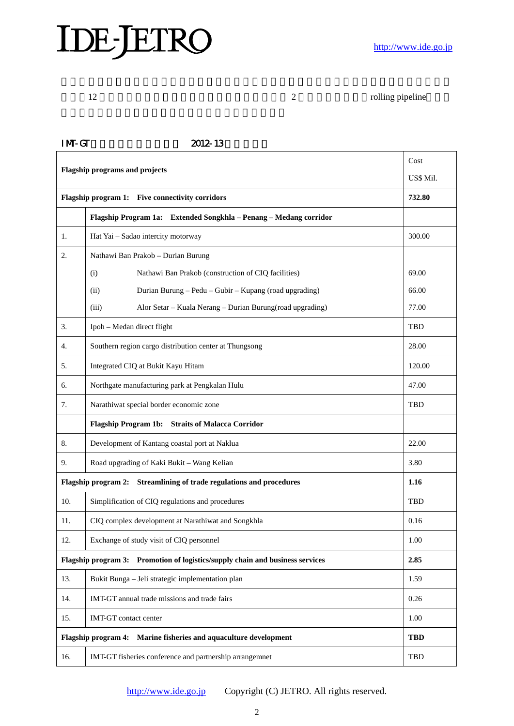a 12 a  $\frac{1}{2}$  a  $\frac{1}{2}$  a  $\frac{1}{2}$  rolling pipeline

| $IM-GT$ | $2012 - 13$                                                                   |                   |
|---------|-------------------------------------------------------------------------------|-------------------|
|         | <b>Flagship programs and projects</b>                                         | Cost<br>US\$ Mil. |
|         | Flagship program 1: Five connectivity corridors                               | 732.80            |
|         | Flagship Program 1a: Extended Songkhla - Penang - Medang corridor             |                   |
| 1.      | Hat Yai - Sadao intercity motorway                                            | 300.00            |
| 2.      | Nathawi Ban Prakob - Durian Burung                                            |                   |
|         | Nathawi Ban Prakob (construction of CIQ facilities)<br>(i)                    | 69.00             |
|         | Durian Burung – Pedu – Gubir – Kupang (road upgrading)<br>(ii)                | 66.00             |
|         | (iii)<br>Alor Setar - Kuala Nerang - Durian Burung(road upgrading)            | 77.00             |
| 3.      | Ipoh – Medan direct flight                                                    | TBD               |
| 4.      | Southern region cargo distribution center at Thungsong                        | 28.00             |
| 5.      | Integrated CIQ at Bukit Kayu Hitam                                            | 120.00            |
| 6.      | Northgate manufacturing park at Pengkalan Hulu                                | 47.00             |
| 7.      | Narathiwat special border economic zone                                       | TBD               |
|         | Flagship Program 1b: Straits of Malacca Corridor                              |                   |
| 8.      | Development of Kantang coastal port at Naklua                                 | 22.00             |
| 9.      | Road upgrading of Kaki Bukit - Wang Kelian                                    | 3.80              |
|         | Flagship program 2: Streamlining of trade regulations and procedures          | 1.16              |
| 10.     | Simplification of CIQ regulations and procedures                              | <b>TBD</b>        |
| 11.     | CIQ complex development at Narathiwat and Songkhla                            | 0.16              |
| 12.     | Exchange of study visit of CIQ personnel                                      | 1.00              |
|         | Flagship program 3: Promotion of logistics/supply chain and business services | 2.85              |
| 13.     | Bukit Bunga - Jeli strategic implementation plan                              | 1.59              |
| 14.     | IMT-GT annual trade missions and trade fairs                                  | 0.26              |
| 15.     | <b>IMT-GT</b> contact center                                                  | 1.00              |
|         | Marine fisheries and aquaculture development<br><b>Flagship program 4:</b>    | <b>TBD</b>        |
| 16.     | IMT-GT fisheries conference and partnership arrangemnet                       | TBD               |
|         |                                                                               |                   |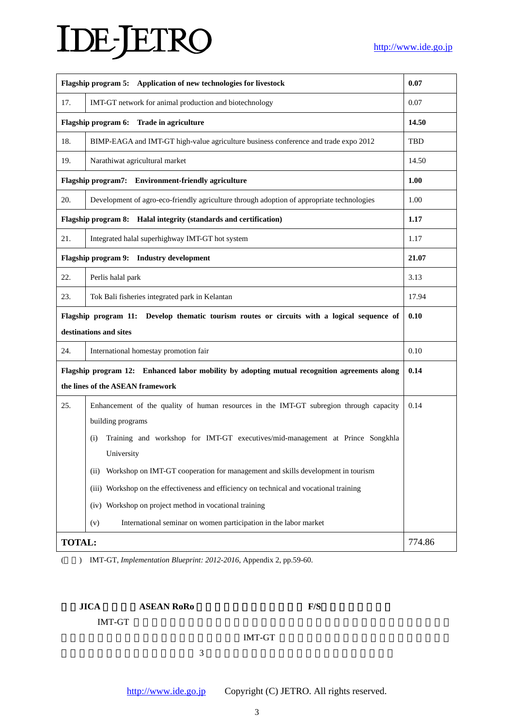|                                                                                              | Flagship program 5: Application of new technologies for livestock                         | 0.07   |
|----------------------------------------------------------------------------------------------|-------------------------------------------------------------------------------------------|--------|
| 17.                                                                                          | IMT-GT network for animal production and biotechnology                                    | 0.07   |
|                                                                                              | Flagship program 6: Trade in agriculture                                                  | 14.50  |
| 18.                                                                                          | BIMP-EAGA and IMT-GT high-value agriculture business conference and trade expo 2012       | TBD    |
| 19.                                                                                          | Narathiwat agricultural market                                                            | 14.50  |
|                                                                                              | Flagship program7: Environment-friendly agriculture                                       | 1.00   |
| 20.                                                                                          | Development of agro-eco-friendly agriculture through adoption of appropriate technologies | 1.00   |
|                                                                                              | Flagship program 8: Halal integrity (standards and certification)                         | 1.17   |
| 21.                                                                                          | Integrated halal superhighway IMT-GT hot system                                           | 1.17   |
|                                                                                              | Flagship program 9: Industry development                                                  | 21.07  |
| 22.                                                                                          | Perlis halal park                                                                         | 3.13   |
| 23.                                                                                          | Tok Bali fisheries integrated park in Kelantan                                            | 17.94  |
| Flagship program 11: Develop thematic tourism routes or circuits with a logical sequence of  |                                                                                           |        |
|                                                                                              | destinations and sites                                                                    |        |
| 24.                                                                                          | International homestay promotion fair                                                     | 0.10   |
| Flagship program 12: Enhanced labor mobility by adopting mutual recognition agreements along |                                                                                           |        |
|                                                                                              | the lines of the ASEAN framework                                                          |        |
| 25.                                                                                          | Enhancement of the quality of human resources in the IMT-GT subregion through capacity    | 0.14   |
|                                                                                              | building programs                                                                         |        |
|                                                                                              | Training and workshop for IMT-GT executives/mid-management at Prince Songkhla<br>(i)      |        |
|                                                                                              | University                                                                                |        |
|                                                                                              | Workshop on IMT-GT cooperation for management and skills development in tourism<br>(11)   |        |
|                                                                                              | (iii) Workshop on the effectiveness and efficiency on technical and vocational training   |        |
|                                                                                              | Workshop on project method in vocational training<br>(1V)                                 |        |
|                                                                                              | International seminar on women participation in the labor market<br>(v)                   |        |
| <b>TOTAL:</b>                                                                                |                                                                                           | 774.86 |

() IMT-GT, *Implementation Blueprint: 2012-2016*, Appendix 2, pp.59-60.

### **31CA** ASEAN RoRo **F/S**

IMT-GT

### $M$ T-GT contract to  $M$

 $3$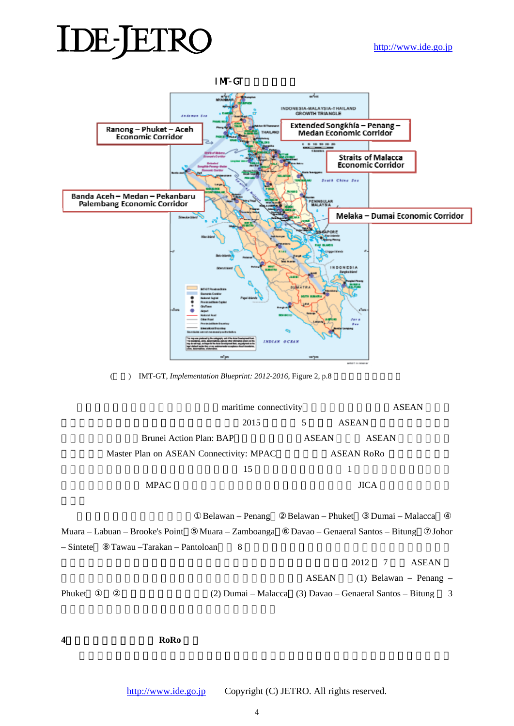

() IMT-GT, *Implementation Blueprint: 2012-2016*, Figure 2, p.8

|                                         | maritime connectivity |                  | <b>ASEAN</b>                                                 |              |
|-----------------------------------------|-----------------------|------------------|--------------------------------------------------------------|--------------|
|                                         | 2015                  | 5                | <b>ASEAN</b>                                                 |              |
| Brunei Action Plan: BAP                 |                       | <b>ASEAN</b>     | <b>ASEAN</b>                                                 |              |
| Master Plan on ASEAN Connectivity: MPAC |                       |                  | <b>ASEAN RoRo</b>                                            |              |
|                                         | 15                    |                  | 1                                                            |              |
| <b>MPAC</b>                             |                       |                  | <b>JICA</b>                                                  |              |
|                                         | Belawan – Penang      | Belawan – Phuket | Dumai – Malacca                                              |              |
| Muara – Labuan – Brooke's Point         | Muara – Zamboanga     |                  | Davao – Genaeral Santos – Bitung                             | Johor        |
| Tawau –Tarakan – Pantoloan<br>– Sintete | 8                     |                  |                                                              |              |
|                                         |                       |                  | 2012<br>7                                                    | <b>ASEAN</b> |
|                                         |                       | <b>ASEAN</b>     | $(1)$ Belawan – Penang –                                     |              |
| Phuket                                  |                       |                  | $(2)$ Dumai – Malacca $(3)$ Davao – Genaeral Santos – Bitung | 3            |
|                                         |                       |                  |                                                              |              |

**4**.マラッカ=ドゥマイ **RoRo** 航路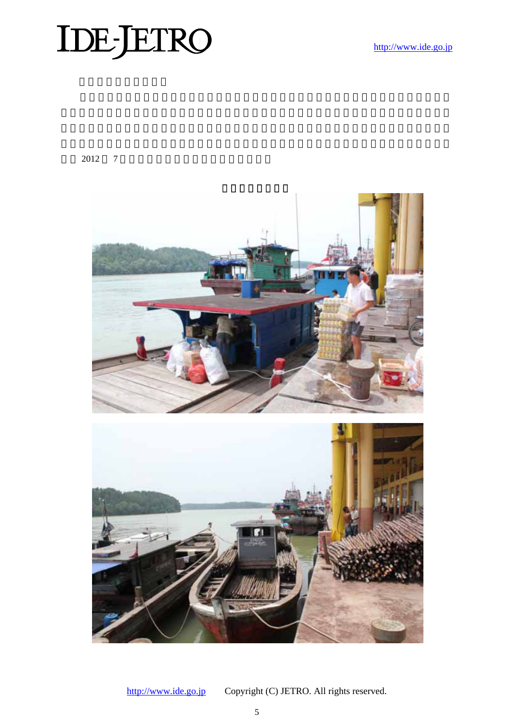2012 7

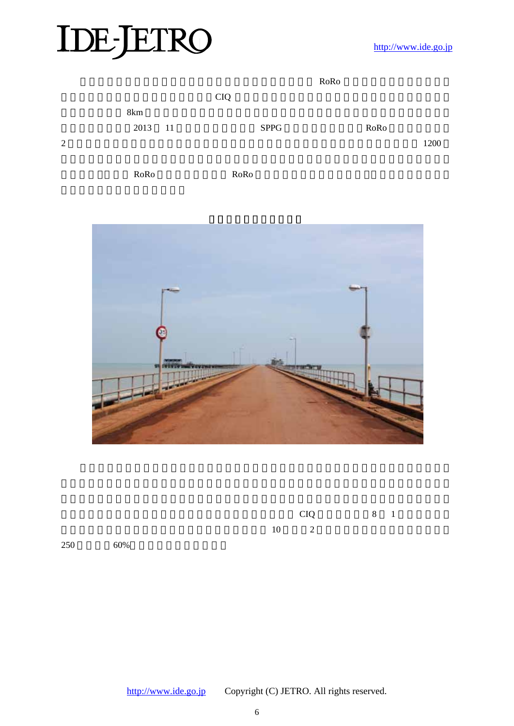|                |                         |             | RoRo |      |
|----------------|-------------------------|-------------|------|------|
|                |                         | <b>CIQ</b>  |      |      |
|                | 8km                     |             |      |      |
|                | 2013<br>$\overline{11}$ | <b>SPPG</b> | RoRo |      |
| $\overline{2}$ |                         |             |      | 1200 |
|                |                         |             |      |      |
|                | RoRo                    | RoRo        |      |      |
|                |                         |             |      |      |



|      | $CIQ$ 8 1 |  |
|------|-----------|--|
| 10 2 |           |  |

250 60%